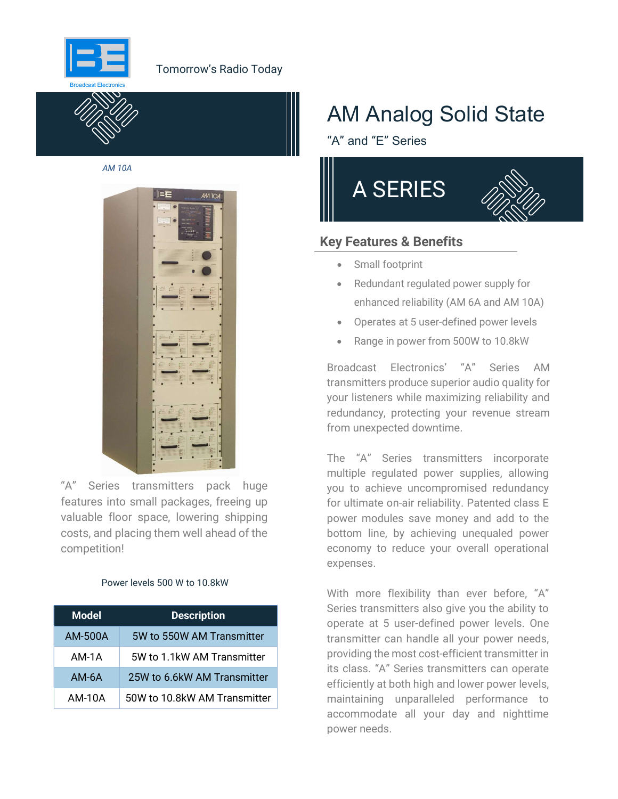

### Tomorrow's Radio Today



AM 10A



"A" Series transmitters pack huge features into small packages, freeing up valuable floor space, lowering shipping costs, and placing them well ahead of the competition!

#### Power levels 500 W to 10.8kW

| <b>Model</b> | <b>Description</b>           |  |  |  |  |
|--------------|------------------------------|--|--|--|--|
| AM-500A      | 5W to 550W AM Transmitter    |  |  |  |  |
| AM-1A        | 5W to 1.1kW AM Transmitter   |  |  |  |  |
| $AM-6A$      | 25W to 6.6kW AM Transmitter  |  |  |  |  |
| AM-10A       | 50W to 10.8kW AM Transmitter |  |  |  |  |

# AM Analog Solid State

"A" and "E" Series



### Key Features & Benefits

- Small footprint
- Redundant regulated power supply for enhanced reliability (AM 6A and AM 10A)
- Operates at 5 user-defined power levels
- Range in power from 500W to 10.8kW

Broadcast Electronics' "A" Series AM transmitters produce superior audio quality for your listeners while maximizing reliability and redundancy, protecting your revenue stream from unexpected downtime.

The "A" Series transmitters incorporate multiple regulated power supplies, allowing you to achieve uncompromised redundancy for ultimate on-air reliability. Patented class E power modules save money and add to the bottom line, by achieving unequaled power economy to reduce your overall operational expenses.

With more flexibility than ever before, "A" Series transmitters also give you the ability to operate at 5 user-defined power levels. One transmitter can handle all your power needs, providing the most cost-efficient transmitter in its class. "A" Series transmitters can operate efficiently at both high and lower power levels, maintaining unparalleled performance to accommodate all your day and nighttime power needs.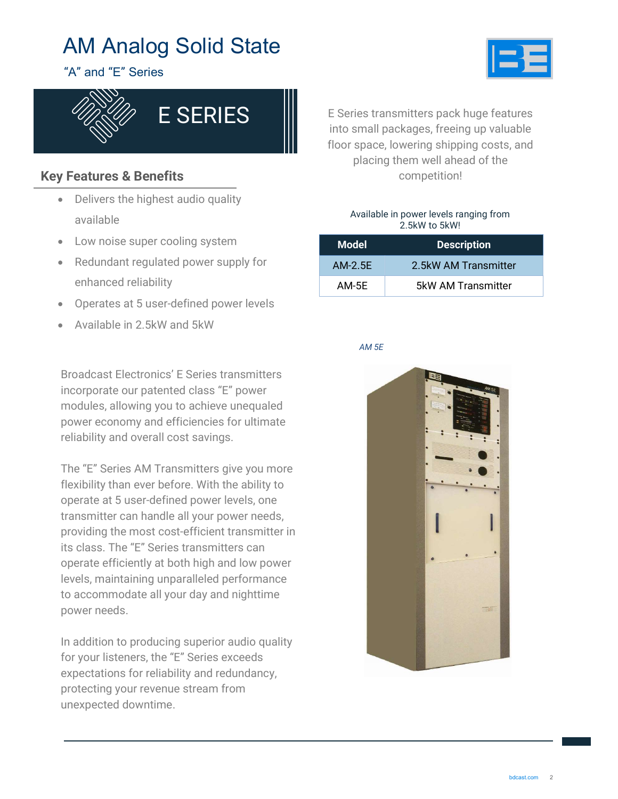

"A" and "E" Series



## Key Features & Benefits

- Delivers the highest audio quality available
- Low noise super cooling system
- Redundant regulated power supply for enhanced reliability
- Operates at 5 user-defined power levels
- Available in 2.5kW and 5kW

Broadcast Electronics' E Series transmitters incorporate our patented class "E" power modules, allowing you to achieve unequaled power economy and efficiencies for ultimate reliability and overall cost savings.

The "E" Series AM Transmitters give you more flexibility than ever before. With the ability to operate at 5 user-defined power levels, one transmitter can handle all your power needs, providing the most cost-efficient transmitter in its class. The "E" Series transmitters can operate efficiently at both high and low power levels, maintaining unparalleled performance to accommodate all your day and nighttime power needs.

In addition to producing superior audio quality for your listeners, the "E" Series exceeds expectations for reliability and redundancy, protecting your revenue stream from unexpected downtime.

E Series transmitters pack huge features into small packages, freeing up valuable floor space, lowering shipping costs, and placing them well ahead of the competition!

#### Available in power levels ranging from 2.5kW to 5kW!

| <b>Model</b> | <b>Description</b>   |
|--------------|----------------------|
| AM-2.5E      | 2.5kW AM Transmitter |
| AM-5E        | 5kW AM Transmitter   |

#### AM 5E

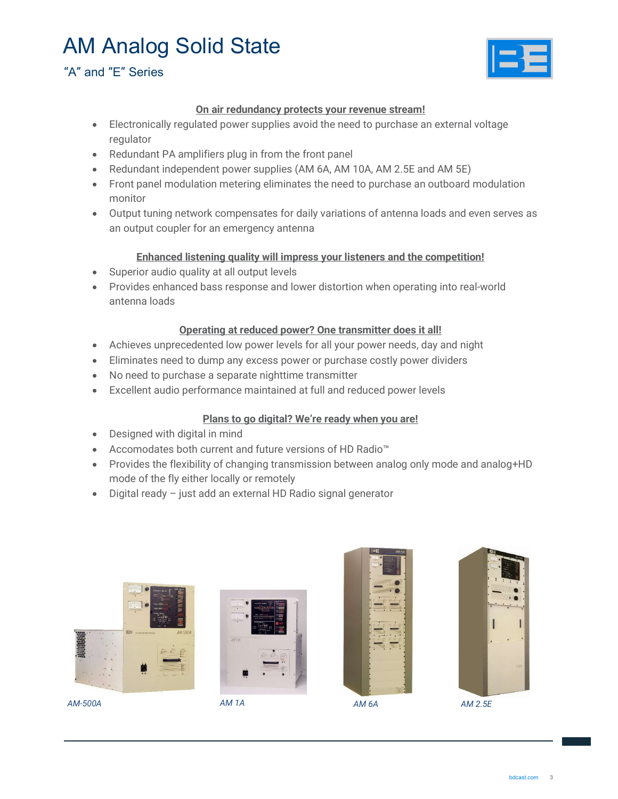### "A" and "E" Series



#### On air redundancy protects your revenue stream!

- Electronically regulated power supplies avoid the need to purchase an external voltage regulator
- Redundant PA amplifiers plug in from the front panel
- Redundant independent power supplies (AM 6A, AM 10A, AM 2.5E and AM 5E)
- Front panel modulation metering eliminates the need to purchase an outboard modulation monitor
- Output tuning network compensates for daily variations of antenna loads and even serves as an output coupler for an emergency antenna

#### Enhanced listening quality will impress your listeners and the competition!

- Superior audio quality at all output levels
- Provides enhanced bass response and lower distortion when operating into real-world antenna loads

#### Operating at reduced power? One transmitter does it all!

- Achieves unprecedented low power levels for all your power needs, day and night
- Eliminates need to dump any excess power or purchase costly power dividers
- No need to purchase a separate nighttime transmitter
- Excellent audio performance maintained at full and reduced power levels

#### Plans to go digital? We're ready when you are!

- Designed with digital in mind
- Accomodates both current and future versions of HD Radio™
- Provides the flexibility of changing transmission between analog only mode and analog+HD mode of the fly either locally or remotely
- Digital ready just add an external HD Radio signal generator



AM-500A AM 1A AM 6A AM 2.5E





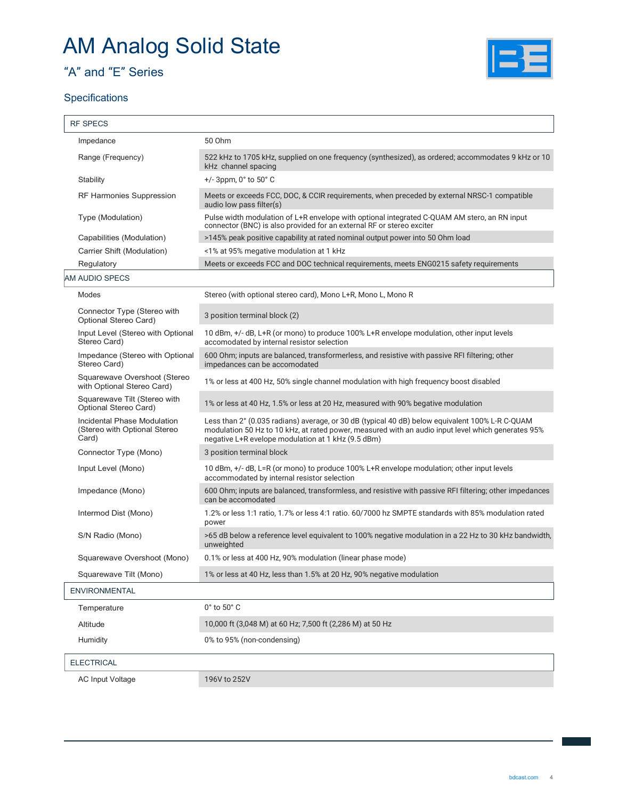## "A" and "E" Series

### **Specifications**



| <b>RF SPECS</b>                                                      |                                                                                                                                                                                                                                                             |
|----------------------------------------------------------------------|-------------------------------------------------------------------------------------------------------------------------------------------------------------------------------------------------------------------------------------------------------------|
| Impedance                                                            | 50 Ohm                                                                                                                                                                                                                                                      |
| Range (Frequency)                                                    | 522 kHz to 1705 kHz, supplied on one frequency (synthesized), as ordered; accommodates 9 kHz or 10<br>kHz channel spacing                                                                                                                                   |
| Stability                                                            | +/-3ppm, 0° to 50° C                                                                                                                                                                                                                                        |
| <b>RF Harmonies Suppression</b>                                      | Meets or exceeds FCC, DOC, & CCIR requirements, when preceded by external NRSC-1 compatible<br>audio low pass filter(s)                                                                                                                                     |
| Type (Modulation)                                                    | Pulse width modulation of L+R envelope with optional integrated C-QUAM AM stero, an RN input<br>connector (BNC) is also provided for an external RF or stereo exciter                                                                                       |
| Capabilities (Modulation)                                            | >145% peak positive capability at rated nominal output power into 50 Ohm load                                                                                                                                                                               |
| Carrier Shift (Modulation)                                           | <1% at 95% megative modulation at 1 kHz                                                                                                                                                                                                                     |
| Regulatory                                                           | Meets or exceeds FCC and DOC technical requirements, meets ENG0215 safety requirements                                                                                                                                                                      |
| AM AUDIO SPECS                                                       |                                                                                                                                                                                                                                                             |
| Modes                                                                | Stereo (with optional stereo card), Mono L+R, Mono L, Mono R                                                                                                                                                                                                |
| Connector Type (Stereo with<br>Optional Stereo Card)                 | 3 position terminal block (2)                                                                                                                                                                                                                               |
| Input Level (Stereo with Optional<br>Stereo Card)                    | 10 dBm, +/- dB, L+R (or mono) to produce 100% L+R envelope modulation, other input levels<br>accomodated by internal resistor selection                                                                                                                     |
| Impedance (Stereo with Optional<br>Stereo Card)                      | 600 Ohm; inputs are balanced, transformerless, and resistive with passive RFI filtering; other<br>impedances can be accomodated                                                                                                                             |
| Squarewave Overshoot (Stereo<br>with Optional Stereo Card)           | 1% or less at 400 Hz, 50% single channel modulation with high frequency boost disabled                                                                                                                                                                      |
| Squarewave Tilt (Stereo with<br>Optional Stereo Card)                | 1% or less at 40 Hz, 1.5% or less at 20 Hz, measured with 90% begative modulation                                                                                                                                                                           |
| Incidental Phase Modulation<br>(Stereo with Optional Stereo<br>Card) | Less than 2° (0.035 radians) average, or 30 dB (typical 40 dB) below equivalent 100% L-R C-QUAM<br>modulation 50 Hz to 10 kHz, at rated power, measured with an audio input level which generates 95%<br>negative L+R evelope modulation at 1 kHz (9.5 dBm) |
| Connector Type (Mono)                                                | 3 position terminal block                                                                                                                                                                                                                                   |
| Input Level (Mono)                                                   | 10 dBm, +/- dB, L=R (or mono) to produce 100% L+R envelope modulation; other input levels<br>accommodated by internal resistor selection                                                                                                                    |
| Impedance (Mono)                                                     | 600 Ohm; inputs are balanced, transformless, and resistive with passive RFI filtering; other impedances<br>can be accomodated                                                                                                                               |
| Intermod Dist (Mono)                                                 | 1.2% or less 1:1 ratio, 1.7% or less 4:1 ratio. 60/7000 hz SMPTE standards with 85% modulation rated<br>power                                                                                                                                               |
| S/N Radio (Mono)                                                     | >65 dB below a reference level equivalent to 100% negative modulation in a 22 Hz to 30 kHz bandwidth,<br>unweighted                                                                                                                                         |
| Squarewave Overshoot (Mono)                                          | 0.1% or less at 400 Hz, 90% modulation (linear phase mode)                                                                                                                                                                                                  |
| Squarewave Tilt (Mono)                                               | 1% or less at 40 Hz, less than 1.5% at 20 Hz, 90% negative modulation                                                                                                                                                                                       |
| <b>ENVIRONMENTAL</b>                                                 |                                                                                                                                                                                                                                                             |
| Temperature                                                          | $0^\circ$ to $50^\circ$ C                                                                                                                                                                                                                                   |
| Altitude                                                             | 10,000 ft (3,048 M) at 60 Hz; 7,500 ft (2,286 M) at 50 Hz                                                                                                                                                                                                   |
| Humidity                                                             | 0% to 95% (non-condensing)                                                                                                                                                                                                                                  |
| <b>ELECTRICAL</b>                                                    |                                                                                                                                                                                                                                                             |
| <b>AC Input Voltage</b>                                              | 196V to 252V                                                                                                                                                                                                                                                |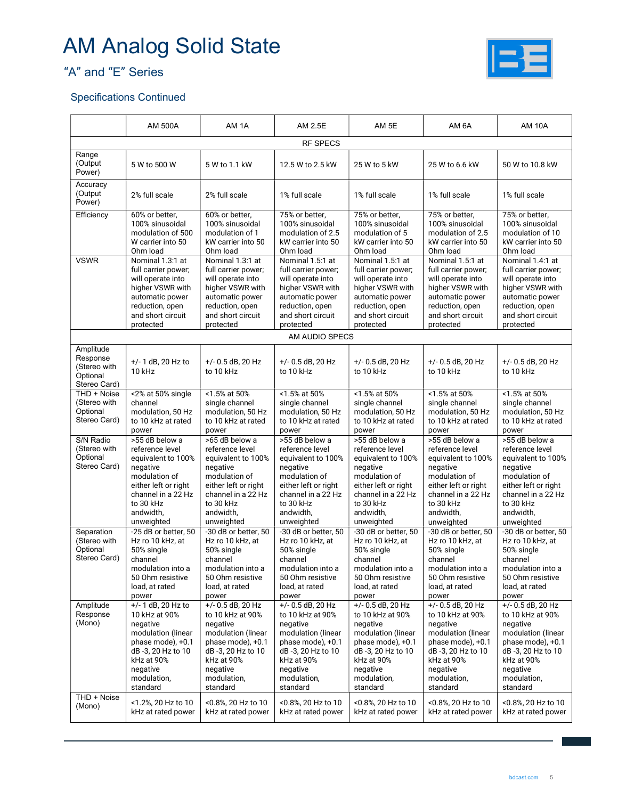



### Specifications Continued

|                                                                                                                                                                            | <b>AM 500A</b>                                                                                                                                                                                                                                                                                                                      | AM <sub>1</sub> A                                                                                                                                                                                                                                                                                                                     | AM 2.5E<br>AM 5E<br>AM 6A                                                                                                                                                                                                                                                                                                             |                                                                                                                                                                                                                                                                                                                                       | <b>AM 10A</b>                                                                                                                                                                                                                                                                                                                         |                                                                                                                                                                                                                                                                                                                                       |  |
|----------------------------------------------------------------------------------------------------------------------------------------------------------------------------|-------------------------------------------------------------------------------------------------------------------------------------------------------------------------------------------------------------------------------------------------------------------------------------------------------------------------------------|---------------------------------------------------------------------------------------------------------------------------------------------------------------------------------------------------------------------------------------------------------------------------------------------------------------------------------------|---------------------------------------------------------------------------------------------------------------------------------------------------------------------------------------------------------------------------------------------------------------------------------------------------------------------------------------|---------------------------------------------------------------------------------------------------------------------------------------------------------------------------------------------------------------------------------------------------------------------------------------------------------------------------------------|---------------------------------------------------------------------------------------------------------------------------------------------------------------------------------------------------------------------------------------------------------------------------------------------------------------------------------------|---------------------------------------------------------------------------------------------------------------------------------------------------------------------------------------------------------------------------------------------------------------------------------------------------------------------------------------|--|
| <b>RF SPECS</b>                                                                                                                                                            |                                                                                                                                                                                                                                                                                                                                     |                                                                                                                                                                                                                                                                                                                                       |                                                                                                                                                                                                                                                                                                                                       |                                                                                                                                                                                                                                                                                                                                       |                                                                                                                                                                                                                                                                                                                                       |                                                                                                                                                                                                                                                                                                                                       |  |
| Range<br>(Output<br>Power)                                                                                                                                                 | 5 W to 500 W                                                                                                                                                                                                                                                                                                                        | 5 W to 1.1 kW                                                                                                                                                                                                                                                                                                                         | 12.5 W to 2.5 kW                                                                                                                                                                                                                                                                                                                      | 25 W to 5 kW                                                                                                                                                                                                                                                                                                                          | 25 W to 6.6 kW                                                                                                                                                                                                                                                                                                                        | 50 W to 10.8 kW                                                                                                                                                                                                                                                                                                                       |  |
| Accuracy<br>(Output<br>Power)                                                                                                                                              | 2% full scale                                                                                                                                                                                                                                                                                                                       | 2% full scale                                                                                                                                                                                                                                                                                                                         | 1% full scale                                                                                                                                                                                                                                                                                                                         | 1% full scale                                                                                                                                                                                                                                                                                                                         | 1% full scale                                                                                                                                                                                                                                                                                                                         | 1% full scale                                                                                                                                                                                                                                                                                                                         |  |
| Efficiency                                                                                                                                                                 | 60% or better,<br>100% sinusoidal<br>modulation of 500<br>W carrier into 50<br>Ohm load                                                                                                                                                                                                                                             | 60% or better,<br>100% sinusoidal<br>modulation of 1<br>kW carrier into 50<br>Ohm load                                                                                                                                                                                                                                                | 75% or better,<br>75% or better,<br>75% or better,<br>100% sinusoidal<br>100% sinusoidal<br>modulation of 2.5<br>modulation of 5<br>kW carrier into 50<br>kW carrier into 50<br>Ohm load<br>Ohm load<br>Ohm load                                                                                                                      |                                                                                                                                                                                                                                                                                                                                       | 100% sinusoidal<br>modulation of 2.5<br>kW carrier into 50                                                                                                                                                                                                                                                                            | 75% or better,<br>100% sinusoidal<br>modulation of 10<br>kW carrier into 50<br>Ohm load                                                                                                                                                                                                                                               |  |
| <b>VSWR</b>                                                                                                                                                                | Nominal 1.3:1 at<br>full carrier power;<br>will operate into<br>higher VSWR with<br>automatic power<br>reduction, open<br>and short circuit<br>protected                                                                                                                                                                            | Nominal 1.3:1 at<br>full carrier power;<br>will operate into<br>higher VSWR with<br>automatic power<br>reduction, open<br>and short circuit<br>protected                                                                                                                                                                              | Nominal 1.5:1 at<br>full carrier power;<br>will operate into<br>higher VSWR with<br>automatic power<br>reduction, open<br>and short circuit<br>protected                                                                                                                                                                              | Nominal 1.5:1 at<br>full carrier power;<br>will operate into<br>higher VSWR with<br>automatic power<br>reduction, open<br>and short circuit<br>protected                                                                                                                                                                              | Nominal 1.5:1 at<br>full carrier power;<br>will operate into<br>higher VSWR with<br>automatic power<br>reduction, open<br>and short circuit<br>protected                                                                                                                                                                              | Nominal 1.4:1 at<br>full carrier power;<br>will operate into<br>higher VSWR with<br>automatic power<br>reduction, open<br>and short circuit<br>protected                                                                                                                                                                              |  |
|                                                                                                                                                                            |                                                                                                                                                                                                                                                                                                                                     |                                                                                                                                                                                                                                                                                                                                       | AM AUDIO SPECS                                                                                                                                                                                                                                                                                                                        |                                                                                                                                                                                                                                                                                                                                       |                                                                                                                                                                                                                                                                                                                                       |                                                                                                                                                                                                                                                                                                                                       |  |
| Amplitude<br>Response<br>(Stereo with<br>Optional<br>Stereo Card)                                                                                                          | $+/- 1$ dB, 20 Hz to<br>10 kHz                                                                                                                                                                                                                                                                                                      | $+/-$ 0.5 dB, 20 Hz<br>to 10 kHz                                                                                                                                                                                                                                                                                                      | +/- 0.5 dB, 20 Hz<br>to 10 kHz                                                                                                                                                                                                                                                                                                        | $+/-$ 0.5 dB, 20 Hz<br>to 10 kHz                                                                                                                                                                                                                                                                                                      | $+/- 0.5$ dB, 20 Hz<br>to 10 kHz                                                                                                                                                                                                                                                                                                      | $+/-$ 0.5 dB, 20 Hz<br>to 10 kHz                                                                                                                                                                                                                                                                                                      |  |
| THD + Noise<br>(Stereo with<br>Optional<br>Stereo Card)<br>S/N Radio<br>(Stereo with<br>Optional<br>Stereo Card)<br>Separation<br>(Stereo with<br>Optional<br>Stereo Card) | <2% at 50% single<br>channel<br>modulation, 50 Hz<br>to 10 kHz at rated<br>power<br>>55 dB below a<br>reference level<br>equivalent to 100%<br>negative<br>modulation of<br>either left or right<br>channel in a 22 Hz<br>to 30 kHz<br>andwidth,<br>unweighted<br>-25 dB or better, 50<br>Hz ro 10 kHz, at<br>50% single<br>channel | <1.5% at 50%<br>single channel<br>modulation, 50 Hz<br>to 10 kHz at rated<br>power<br>>65 dB below a<br>reference level<br>equivalent to 100%<br>negative<br>modulation of<br>either left or right<br>channel in a 22 Hz<br>to 30 kHz<br>andwidth,<br>unweighted<br>-30 dB or better, 50<br>Hz ro 10 kHz, at<br>50% single<br>channel | <1.5% at 50%<br>single channel<br>modulation, 50 Hz<br>to 10 kHz at rated<br>power<br>>55 dB below a<br>reference level<br>equivalent to 100%<br>negative<br>modulation of<br>either left or right<br>channel in a 22 Hz<br>to 30 kHz<br>andwidth,<br>unweighted<br>-30 dB or better, 50<br>Hz ro 10 kHz. at<br>50% single<br>channel | <1.5% at 50%<br>single channel<br>modulation, 50 Hz<br>to 10 kHz at rated<br>power<br>>55 dB below a<br>reference level<br>equivalent to 100%<br>negative<br>modulation of<br>either left or right<br>channel in a 22 Hz<br>to 30 kHz<br>andwidth,<br>unweighted<br>-30 dB or better, 50<br>Hz ro 10 kHz, at<br>50% single<br>channel | <1.5% at 50%<br>single channel<br>modulation, 50 Hz<br>to 10 kHz at rated<br>power<br>>55 dB below a<br>reference level<br>equivalent to 100%<br>negative<br>modulation of<br>either left or right<br>channel in a 22 Hz<br>to 30 kHz<br>andwidth,<br>unweighted<br>-30 dB or better, 50<br>Hz ro 10 kHz, at<br>50% single<br>channel | <1.5% at 50%<br>single channel<br>modulation, 50 Hz<br>to 10 kHz at rated<br>power<br>>55 dB below a<br>reference level<br>equivalent to 100%<br>negative<br>modulation of<br>either left or right<br>channel in a 22 Hz<br>to 30 kHz<br>andwidth,<br>unweighted<br>-30 dB or better, 50<br>Hz ro 10 kHz, at<br>50% single<br>channel |  |
|                                                                                                                                                                            | modulation into a<br>50 Ohm resistive<br>load, at rated<br>power                                                                                                                                                                                                                                                                    | modulation into a<br>50 Ohm resistive<br>load, at rated<br>power                                                                                                                                                                                                                                                                      | modulation into a<br>50 Ohm resistive<br>load, at rated<br>power                                                                                                                                                                                                                                                                      | modulation into a<br>50 Ohm resistive<br>load, at rated<br>power                                                                                                                                                                                                                                                                      | modulation into a<br>50 Ohm resistive<br>load, at rated<br>power                                                                                                                                                                                                                                                                      | modulation into a<br>50 Ohm resistive<br>load, at rated<br>power                                                                                                                                                                                                                                                                      |  |
| Amplitude<br>Response<br>(Mono)                                                                                                                                            | $+/- 1$ dB, 20 Hz to<br>10 kHz at 90%<br>negative<br>modulation (linear<br>phase mode), +0.1<br>dB -3, 20 Hz to 10<br>kHz at 90%<br>negative<br>modulation,<br>standard                                                                                                                                                             | $+/- 0.5$ dB, 20 Hz<br>to 10 kHz at 90%<br>negative<br>modulation (linear<br>phase mode), +0.1<br>dB -3, 20 Hz to 10<br>kHz at 90%<br>negative<br>modulation,<br>standard                                                                                                                                                             | $+/- 0.5$ dB, 20 Hz<br>to 10 kHz at 90%<br>negative<br>modulation (linear<br>phase mode), +0.1<br>dB-3, 20 Hz to 10<br>kHz at 90%<br>negative<br>modulation,<br>standard                                                                                                                                                              | $+/-$ 0.5 dB, 20 Hz<br>to 10 kHz at 90%<br>negative<br>modulation (linear<br>phase mode), +0.1<br>dB-3, 20 Hz to 10<br>kHz at 90%<br>negative<br>modulation,<br>standard                                                                                                                                                              | $+/- 0.5$ dB, 20 Hz<br>to 10 kHz at 90%<br>negative<br>modulation (linear<br>phase mode), +0.1<br>dB -3, 20 Hz to 10<br>kHz at 90%<br>negative<br>modulation,<br>standard                                                                                                                                                             | $+/-$ 0.5 dB, 20 Hz<br>to 10 kHz at 90%<br>negative<br>modulation (linear<br>phase mode), +0.1<br>dB -3, 20 Hz to 10<br>kHz at 90%<br>negative<br>modulation,<br>standard                                                                                                                                                             |  |
| THD + Noise<br>(Mono)                                                                                                                                                      | <1.2%, 20 Hz to 10<br>kHz at rated power                                                                                                                                                                                                                                                                                            | <0.8%, 20 Hz to 10<br>kHz at rated power                                                                                                                                                                                                                                                                                              | <0.8%, 20 Hz to 10<br>kHz at rated power                                                                                                                                                                                                                                                                                              | <0.8%, 20 Hz to 10<br>kHz at rated power                                                                                                                                                                                                                                                                                              | <0.8%, 20 Hz to 10<br>kHz at rated power                                                                                                                                                                                                                                                                                              | <0.8%, 20 Hz to 10<br>kHz at rated power                                                                                                                                                                                                                                                                                              |  |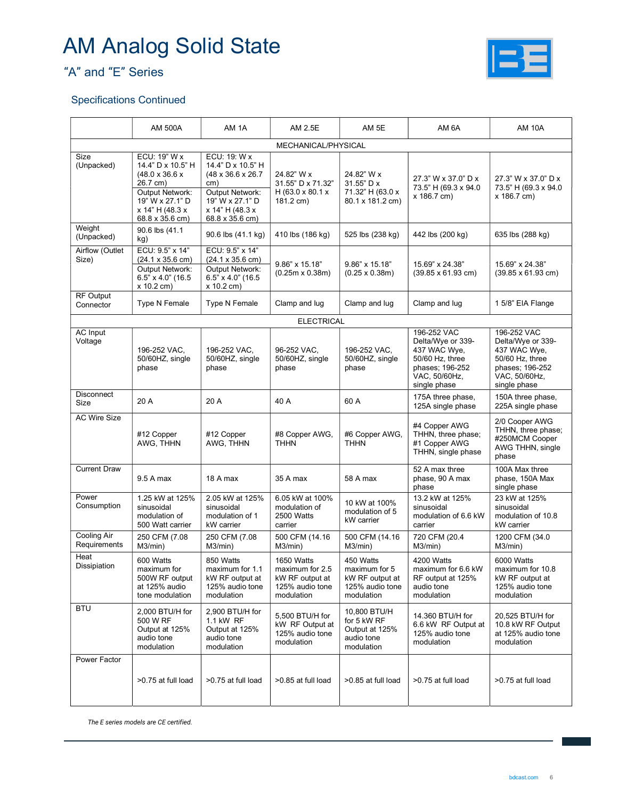## "A" and "E" Series



#### Specifications Continued

|                                    | <b>AM 500A</b>                                                                                                                                          | AM 1A                                                                                                                                      | AM 2.5E                                                                           | AM 5E                                                                          | AM 6A                                                                                                                   | <b>AM 10A</b>                                                                                                           |  |  |
|------------------------------------|---------------------------------------------------------------------------------------------------------------------------------------------------------|--------------------------------------------------------------------------------------------------------------------------------------------|-----------------------------------------------------------------------------------|--------------------------------------------------------------------------------|-------------------------------------------------------------------------------------------------------------------------|-------------------------------------------------------------------------------------------------------------------------|--|--|
| MECHANICAL/PHYSICAL                |                                                                                                                                                         |                                                                                                                                            |                                                                                   |                                                                                |                                                                                                                         |                                                                                                                         |  |  |
| Size<br>(Unpacked)                 | ECU: 19" W x<br>14.4" D x 10.5" H<br>$(48.0 \times 36.6 \times$<br>26.7 cm)<br>Output Network:<br>19" W x 27.1" D<br>x 14" H (48.3 x<br>68.8 x 35.6 cm) | ECU: 19: W x<br>14.4" D x 10.5" H<br>(48 x 36.6 x 26.7)<br>cm)<br>Output Network:<br>19" W x 27.1" D<br>x 14" H (48.3 x<br>68.8 x 35.6 cm) | 24.82" W x<br>31.55" D x 71.32"<br>H (63.0 x 80.1 x<br>181.2 cm)                  | 24.82" W x<br>31.55" D x<br>71.32" H (63.0 x<br>80.1 x 181.2 cm)               | 27.3" W x 37.0" D x<br>73.5" H (69.3 x 94.0)<br>x 186.7 cm)                                                             | 27.3" W x 37.0" D x<br>73.5" H (69.3 x 94.0)<br>x 186.7 cm)                                                             |  |  |
| Weight<br>(Unpacked)               | 90.6 lbs (41.1<br>kg)                                                                                                                                   | 90.6 lbs (41.1 kg)                                                                                                                         | 410 lbs (186 kg)                                                                  | 525 lbs (238 kg)                                                               | 442 lbs (200 kg)                                                                                                        | 635 lbs (288 kg)                                                                                                        |  |  |
| Airflow (Outlet<br>Size)           | ECU: 9.5" x 14"<br>$(24.1 \times 35.6 \text{ cm})$<br>Output Network:<br>6.5" x 4.0" (16.5)<br>x 10.2 cm)                                               | ECU: 9.5" x 14"<br>$(24.1 \times 35.6 \text{ cm})$<br>Output Network:<br>6.5" x 4.0" (16.5)<br>x 10.2 cm)                                  | 9.86" x 15.18"<br>$(0.25m \times 0.38m)$                                          | $9.86" \times 15.18"$<br>$(0.25 \times 0.38m)$                                 | 15.69" x 24.38"<br>$(39.85 \times 61.93 \text{ cm})$                                                                    | 15.69" x 24.38"<br>$(39.85 \times 61.93 \text{ cm})$                                                                    |  |  |
| <b>RF Output</b><br>Connector      | Type N Female                                                                                                                                           | Type N Female                                                                                                                              | Clamp and lug                                                                     | Clamp and lug                                                                  | Clamp and lug                                                                                                           | 1 5/8" EIA Flange                                                                                                       |  |  |
|                                    |                                                                                                                                                         |                                                                                                                                            | <b>ELECTRICAL</b>                                                                 |                                                                                |                                                                                                                         |                                                                                                                         |  |  |
| AC Input<br>Voltage                | 196-252 VAC,<br>50/60HZ, single<br>phase                                                                                                                | 196-252 VAC.<br>50/60HZ, single<br>phase                                                                                                   | 96-252 VAC.<br>50/60HZ, single<br>phase                                           | 196-252 VAC,<br>50/60HZ, single<br>phase                                       | 196-252 VAC<br>Delta/Wye or 339-<br>437 WAC Wye.<br>50/60 Hz, three<br>phases; 196-252<br>VAC, 50/60Hz,<br>single phase | 196-252 VAC<br>Delta/Wye or 339-<br>437 WAC Wye,<br>50/60 Hz, three<br>phases: 196-252<br>VAC, 50/60Hz,<br>single phase |  |  |
| <b>Disconnect</b><br>Size          | 20 A                                                                                                                                                    | 20 A                                                                                                                                       | 40 A                                                                              | 60 A                                                                           | 175A three phase,<br>125A single phase                                                                                  | 150A three phase,<br>225A single phase                                                                                  |  |  |
| <b>AC Wire Size</b>                | #12 Copper<br>AWG, THHN                                                                                                                                 | #12 Copper<br>AWG, THHN                                                                                                                    | #8 Copper AWG,<br><b>THHN</b>                                                     | #6 Copper AWG,<br><b>THHN</b>                                                  | #4 Copper AWG<br>THHN, three phase;<br>#1 Copper AWG<br>THHN, single phase                                              | 2/0 Cooper AWG<br>THHN, three phase;<br>#250MCM Cooper<br>AWG THHN, single<br>phase                                     |  |  |
| <b>Current Draw</b>                | 9.5 A max                                                                                                                                               | 18 A max                                                                                                                                   | 35 A max                                                                          | 58 A max                                                                       | 52 A max three<br>phase, 90 A max<br>phase                                                                              | 100A Max three<br>phase, 150A Max<br>single phase                                                                       |  |  |
| Power<br>Consumption               | 1.25 kW at 125%<br>sinusoidal<br>modulation of<br>500 Watt carrier                                                                                      | 2.05 kW at 125%<br>sinusoidal<br>modulation of 1<br>kW carrier                                                                             | 6.05 kW at 100%<br>modulation of<br>2500 Watts<br>carrier                         | 10 kW at 100%<br>modulation of 5<br>kW carrier                                 | 13.2 kW at 125%<br>sinusoidal<br>modulation of 6.6 kW<br>carrier                                                        | 23 kW at 125%<br>sinusoidal<br>modulation of 10.8<br>kW carrier                                                         |  |  |
| <b>Cooling Air</b><br>Requirements | 250 CFM (7.08<br>M3/min)                                                                                                                                | 250 CFM (7.08<br>$M3/min$ )                                                                                                                | 500 CFM (14.16<br>M3/min)                                                         | 500 CFM (14.16<br>M3/min)                                                      | 720 CFM (20.4<br>M3/min)                                                                                                | 1200 CFM (34.0<br>M3/min)                                                                                               |  |  |
| Heat<br>Dissipiation               | 600 Watts<br>maximum for<br>500W RF output<br>at 125% audio<br>tone modulation                                                                          | 850 Watts<br>maximum for 1.1<br>kW RF output at<br>125% audio tone<br>modulation                                                           | 1650 Watts<br>maximum for 2.5<br>kW RF output at<br>125% audio tone<br>modulation | 450 Watts<br>maximum for 5<br>kW RF output at<br>125% audio tone<br>modulation | 4200 Watts<br>maximum for 6.6 kW<br>RF output at 125%<br>audio tone<br>modulation                                       | 6000 Watts<br>maximum for 10.8<br>kW RF output at<br>125% audio tone<br>modulation                                      |  |  |
| <b>BTU</b>                         | 2,000 BTU/H for<br>500 W RF<br>Output at 125%<br>audio tone<br>modulation                                                                               | 2,900 BTU/H for<br>1.1 kW RF<br>Output at 125%<br>audio tone<br>modulation                                                                 | 5,500 BTU/H for<br>kW RF Output at<br>125% audio tone<br>modulation               | 10,800 BTU/H<br>for 5 kW RF<br>Output at 125%<br>audio tone<br>modulation      | 14.360 BTU/H for<br>6.6 kW RF Output at<br>125% audio tone<br>modulation                                                | 20,525 BTU/H for<br>10.8 kW RF Output<br>at 125% audio tone<br>modulation                                               |  |  |
| Power Factor                       | >0.75 at full load                                                                                                                                      | >0.75 at full load                                                                                                                         | >0.85 at full load                                                                | >0.85 at full load                                                             | >0.75 at full load                                                                                                      | >0.75 at full load                                                                                                      |  |  |

The E series models are CE certified.